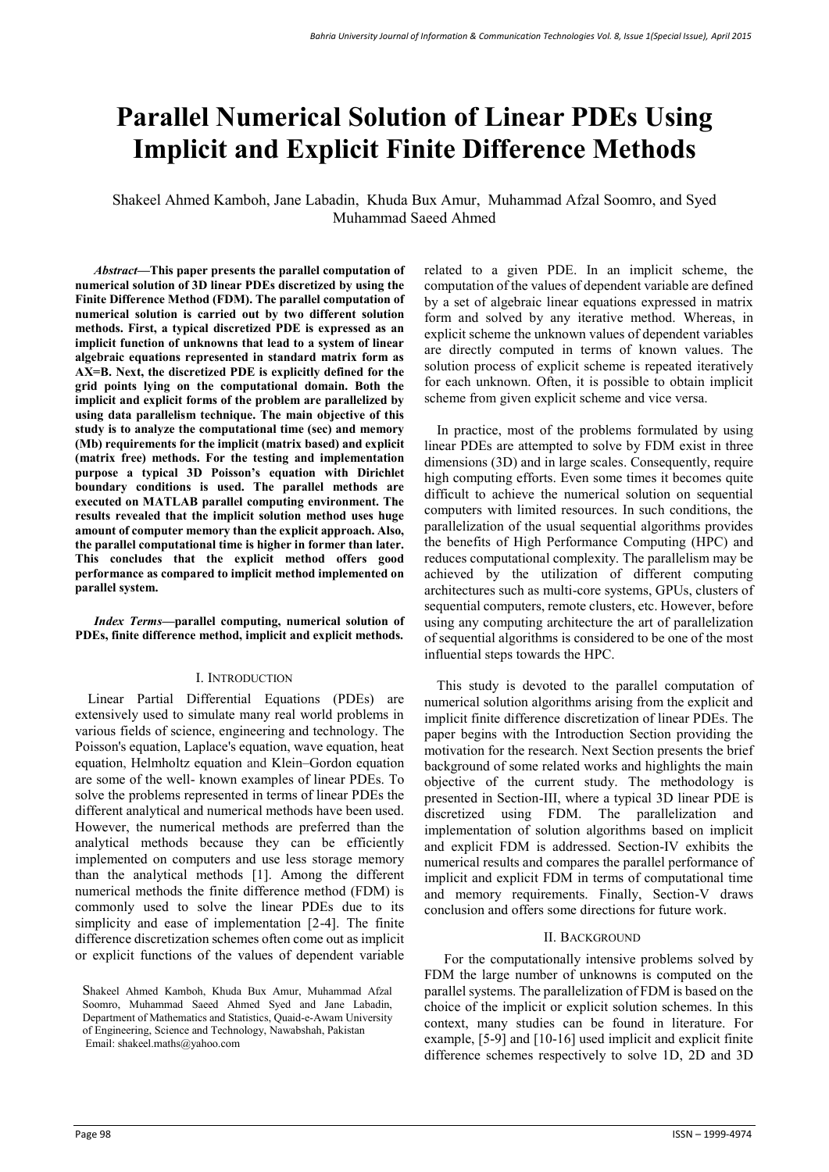# **Parallel Numerical Solution of Linear PDEs Using Implicit and Explicit Finite Difference Methods**

Shakeel Ahmed Kamboh, Jane Labadin, Khuda Bux Amur, Muhammad Afzal Soomro, and Syed Muhammad Saeed Ahmed

*Abstract***—This paper presents the parallel computation of numerical solution of 3D linear PDEs discretized by using the Finite Difference Method (FDM). The parallel computation of numerical solution is carried out by two different solution methods. First, a typical discretized PDE is expressed as an implicit function of unknowns that lead to a system of linear algebraic equations represented in standard matrix form as AX=B. Next, the discretized PDE is explicitly defined for the grid points lying on the computational domain. Both the implicit and explicit forms of the problem are parallelized by using data parallelism technique. The main objective of this study is to analyze the computational time (sec) and memory (Mb) requirements for the implicit (matrix based) and explicit (matrix free) methods. For the testing and implementation purpose a typical 3D Poisson's equation with Dirichlet boundary conditions is used. The parallel methods are executed on MATLAB parallel computing environment. The results revealed that the implicit solution method uses huge amount of computer memory than the explicit approach. Also, the parallel computational time is higher in former than later. This concludes that the explicit method offers good performance as compared to implicit method implemented on parallel system.** 

*Index Terms***—parallel computing, numerical solution of PDEs, finite difference method, implicit and explicit methods.** 

#### I. INTRODUCTION

 Linear Partial Differential Equations (PDEs) are extensively used to simulate many real world problems in various fields of science, engineering and technology. The Poisson's equation, Laplace's equation, wave equation, heat equation, Helmholtz equation and Klein–Gordon equation are some of the well- known examples of linear PDEs. To solve the problems represented in terms of linear PDEs the different analytical and numerical methods have been used. However, the numerical methods are preferred than the analytical methods because they can be efficiently implemented on computers and use less storage memory than the analytical methods [1]. Among the different numerical methods the finite difference method (FDM) is commonly used to solve the linear PDEs due to its simplicity and ease of implementation [2-4]. The finite difference discretization schemes often come out as implicit or explicit functions of the values of dependent variable related to a given PDE. In an implicit scheme, the computation of the values of dependent variable are defined by a set of algebraic linear equations expressed in matrix form and solved by any iterative method. Whereas, in explicit scheme the unknown values of dependent variables are directly computed in terms of known values. The solution process of explicit scheme is repeated iteratively for each unknown. Often, it is possible to obtain implicit scheme from given explicit scheme and vice versa.

In practice, most of the problems formulated by using linear PDEs are attempted to solve by FDM exist in three dimensions (3D) and in large scales. Consequently, require high computing efforts. Even some times it becomes quite difficult to achieve the numerical solution on sequential computers with limited resources. In such conditions, the parallelization of the usual sequential algorithms provides the benefits of High Performance Computing (HPC) and reduces computational complexity. The parallelism may be achieved by the utilization of different computing architectures such as multi-core systems, GPUs, clusters of sequential computers, remote clusters, etc. However, before using any computing architecture the art of parallelization of sequential algorithms is considered to be one of the most influential steps towards the HPC.

 This study is devoted to the parallel computation of numerical solution algorithms arising from the explicit and implicit finite difference discretization of linear PDEs. The paper begins with the Introduction Section providing the motivation for the research. Next Section presents the brief background of some related works and highlights the main objective of the current study. The methodology is presented in Section-III, where a typical 3D linear PDE is discretized using FDM. The parallelization and implementation of solution algorithms based on implicit and explicit FDM is addressed. Section-IV exhibits the numerical results and compares the parallel performance of implicit and explicit FDM in terms of computational time and memory requirements. Finally, Section-V draws conclusion and offers some directions for future work.

### II. BACKGROUND

For the computationally intensive problems solved by FDM the large number of unknowns is computed on the parallel systems. The parallelization of FDM is based on the choice of the implicit or explicit solution schemes. In this context, many studies can be found in literature. For example, [5-9] and [10-16] used implicit and explicit finite difference schemes respectively to solve 1D, 2D and 3D

Shakeel Ahmed Kamboh, Khuda Bux Amur, Muhammad Afzal Soomro, Muhammad Saeed Ahmed Syed and Jane Labadin, Department of Mathematics and Statistics, Quaid-e-Awam University of Engineering, Science and Technology, Nawabshah, Pakistan Email: shakeel.maths@yahoo.com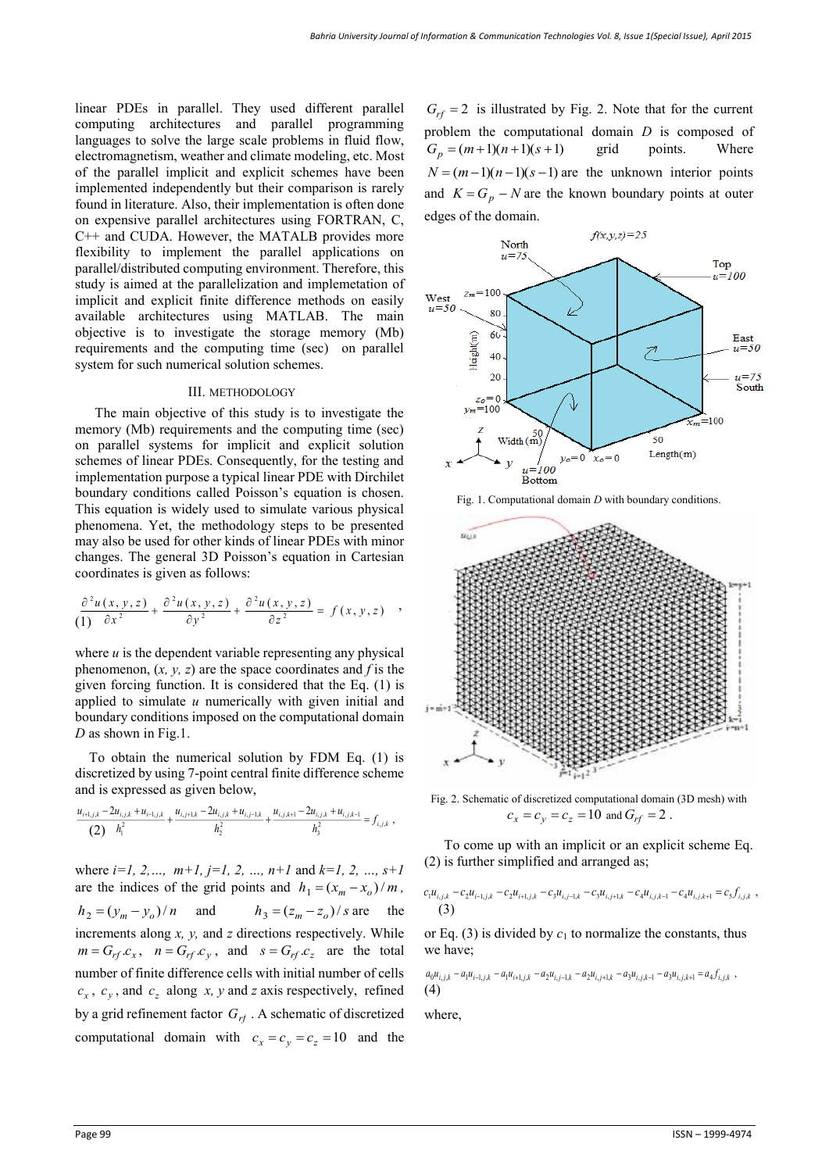linear PDEs in parallel. They used different parallel computing architectures and parallel programming languages to solve the large scale problems in fluid flow, electromagnetism, weather and climate modeling, etc. Most of the parallel implicit and explicit schemes have been implemented independently but their comparison is rarely found in literature. Also, their implementation is often done on expensive parallel architectures using FORTRAN, C, C++ and CUDA. However, the MATALB provides more flexibility to implement the parallel applications on parallel/distributed computing environment. Therefore, this study is aimed at the parallelization and implemetation of implicit and explicit finite difference methods on easily available architectures using MATLAB. The main objective is to investigate the storage memory (Mb) requirements and the computing time (sec) on parallel system for such numerical solution schemes.

## III. METHODOLOGY

 The main objective of this study is to investigate the memory (Mb) requirements and the computing time (sec) on parallel systems for implicit and explicit solution schemes of linear PDEs. Consequently, for the testing and implementation purpose a typical linear PDE with Dirchilet boundary conditions called Poisson's equation is chosen. This equation is widely used to simulate various physical phenomena. Yet, the methodology steps to be presented may also be used for other kinds of linear PDEs with minor changes. The general 3D Poisson's equation in Cartesian coordinates is given as follows:

$$
\frac{\partial^2 u(x, y, z)}{\partial x^2} + \frac{\partial^2 u(x, y, z)}{\partial y^2} + \frac{\partial^2 u(x, y, z)}{\partial z^2} = f(x, y, z) ,
$$

where  $u$  is the dependent variable representing any physical phenomenon, (*x, y, z*) are the space coordinates and *f* is the given forcing function. It is considered that the Eq. (1) is applied to simulate *u* numerically with given initial and boundary conditions imposed on the computational domain *D* as shown in Fig.1.

To obtain the numerical solution by FDM Eq. (1) is discretized by using 7-point central finite difference scheme and is expressed as given below,

$$
\frac{u_{i+l,j,k}-2u_{i,j,k}+u_{i-l,j,k}}{(2) h_1^2}+\frac{u_{i,j+l,k}-2u_{i,j,k}+u_{i,j-l,k}}{h_2^2}+\frac{u_{i,j,k+l}-2u_{i,j,k}+u_{i,j,k-l}}{h_3^2}=f_{i,j,k},
$$

where  $i=1, 2, ..., m+1, j=1, 2, ..., n+1$  and  $k=1, 2, ..., s+1$ are the indices of the grid points and  $h_1 = (x_m - x_o)/m$ ,  $h_2 = (y_m - y_o)/n$  and  $h_3 = (z_m - z_o)/s$  are the increments along *x, y,* and *z* directions respectively. While  $m = G_{rf}$  *c<sub>x</sub>*,  $n = G_{rf}$  *c<sub>y</sub>*, and  $s = G_{rf}$  *c<sub>z</sub>* are the total number of finite difference cells with initial number of cells  $c_x$ ,  $c_y$ , and  $c_z$  along *x*, *y* and *z* axis respectively, refined by a grid refinement factor  $G_{rf}$ . A schematic of discretized computational domain with  $c_x = c_y = c_z = 10$  and the

 $G_{rf}$  = 2 is illustrated by Fig. 2. Note that for the current problem the computational domain *D* is composed of  $G_p = (m+1)(n+1)(s+1)$  grid points. Where  $N = (m-1)(n-1)(s-1)$  are the unknown interior points and  $K = G_p - N$  are the known boundary points at outer edges of the domain.



Fig. 1. Computational domain *D* with boundary conditions.



Fig. 2. Schematic of discretized computational domain (3D mesh) with  $c_x = c_y = c_z = 10$  and  $G_{rf} = 2$ .

 To come up with an implicit or an explicit scheme Eq. (2) is further simplified and arranged as;

$$
c_1u_{i,j,k}-c_2u_{i-1,j,k}-c_2u_{i+1,j,k}-c_3u_{i,j-1,k}-c_3u_{i,j+1,k}-c_4u_{i,j,k-1}-c_4u_{i,j,k+1}=c_5f_{i,j,k},
$$
  
(3)

or Eq. (3) is divided by  $c_1$  to normalize the constants, thus we have;

 $a_0u_{i,j,k} - a_1u_{i-1,j,k} - a_1u_{i+1,j,k} - a_2u_{i,j-1,k} - a_2u_{i,j+1,k} - a_3u_{i,j,k-1} - a_3u_{i,j,k+1} = a_4f_{i,j,k}$ (4)

where,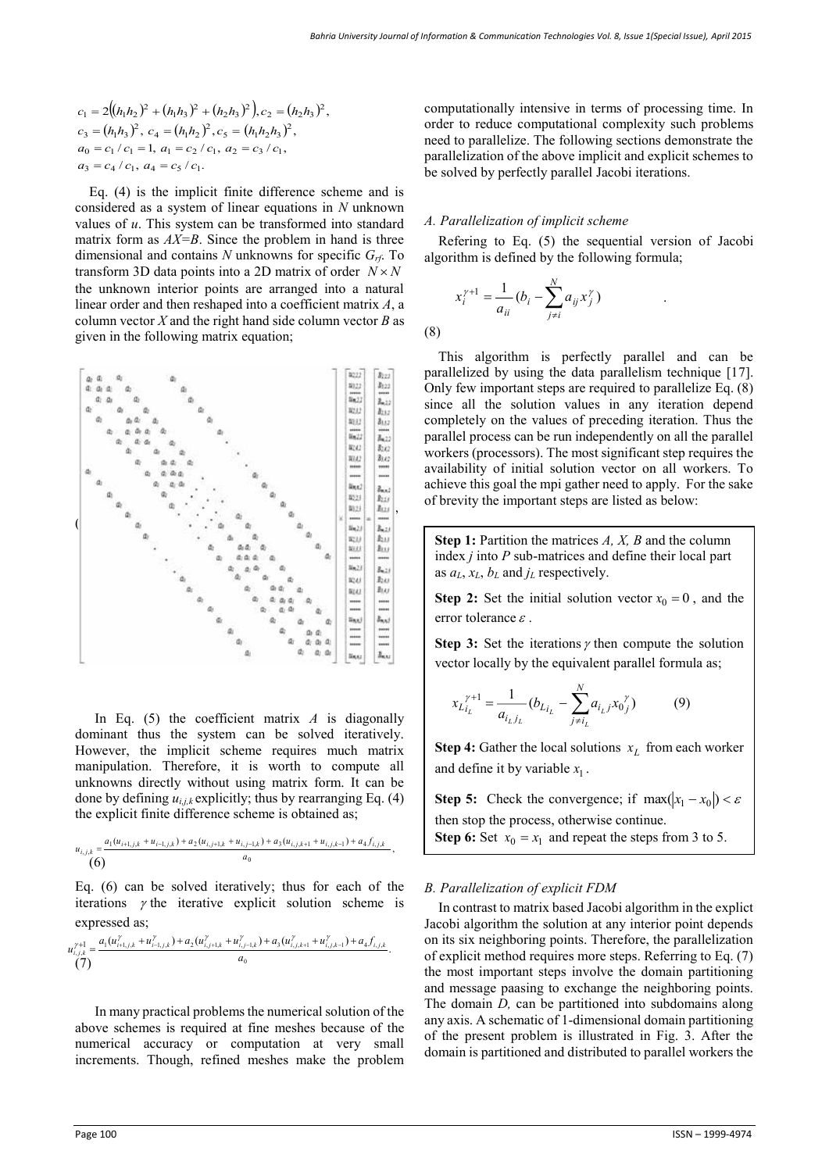$$
c_1 = 2((h_1h_2)^2 + (h_1h_3)^2 + (h_2h_3)^2), c_2 = (h_2h_3)^2,
$$
  
\n
$$
c_3 = (h_1h_3)^2, c_4 = (h_1h_2)^2, c_5 = (h_1h_2h_3)^2,
$$
  
\n
$$
a_0 = c_1/c_1 = 1, a_1 = c_2/c_1, a_2 = c_3/c_1,
$$
  
\n
$$
a_3 = c_4/c_1, a_4 = c_5/c_1.
$$

Eq. (4) is the implicit finite difference scheme and is considered as a system of linear equations in *N* unknown values of *u*. This system can be transformed into standard matrix form as *AX=B*. Since the problem in hand is three dimensional and contains *N* unknowns for specific *Grf*. To transform 3D data points into a 2D matrix of order  $N \times N$ the unknown interior points are arranged into a natural linear order and then reshaped into a coefficient matrix *A*, a column vector *X* and the right hand side column vector *B* as given in the following matrix equation;



In Eq.  $(5)$  the coefficient matrix *A* is diagonally dominant thus the system can be solved iteratively. However, the implicit scheme requires much matrix manipulation. Therefore, it is worth to compute all unknowns directly without using matrix form. It can be done by defining  $u_{i,j,k}$  explicitly; thus by rearranging Eq. (4) the explicit finite difference scheme is obtained as;

$$
\begin{array}{l} u_{i,j,k}=\frac{a_1(u_{i+1,j,k}+u_{i-1,j,k})+a_2(u_{i,j+1,k}+u_{i,j-1,k})+a_3(u_{i,j,k+1}+u_{i,j,k-1})+a_4f_{i,j,k}}{(6)}\,, \\\hspace{0.5cm} q_0 \end{array}
$$

Eq. (6) can be solved iteratively; thus for each of the iterations  $\gamma$  the iterative explicit solution scheme is expressed as;

$$
u_{i,j,k}^{\gamma+1} = \frac{a_1(u_{i+1,j,k}^{\gamma} + u_{i-1,j,k}^{\gamma}) + a_2(u_{i,j+1,k}^{\gamma} + u_{i,j-1,k}^{\gamma}) + a_3(u_{i,j,k+1}^{\gamma} + u_{i,j,k-1}^{\gamma}) + a_4 f_{i,j,k}}{a_0}.
$$

 In many practical problems the numerical solution of the above schemes is required at fine meshes because of the numerical accuracy or computation at very small increments. Though, refined meshes make the problem computationally intensive in terms of processing time. In order to reduce computational complexity such problems need to parallelize. The following sections demonstrate the parallelization of the above implicit and explicit schemes to be solved by perfectly parallel Jacobi iterations.

## *A. Parallelization of implicit scheme*

Refering to Eq. (5) the sequential version of Jacobi algorithm is defined by the following formula;

$$
x_i^{\gamma+1} = \frac{1}{a_{ii}} (b_i - \sum_{j \neq i}^N a_{ij} x_j^{\gamma})
$$

(8)

This algorithm is perfectly parallel and can be parallelized by using the data parallelism technique [17]. Only few important steps are required to parallelize Eq. (8) since all the solution values in any iteration depend completely on the values of preceding iteration. Thus the parallel process can be run independently on all the parallel workers (processors). The most significant step requires the availability of initial solution vector on all workers. To achieve this goal the mpi gather need to apply. For the sake of brevity the important steps are listed as below:

**Step 1:** Partition the matrices *A, X, B* and the column index *j* into *P* sub-matrices and define their local part as *aL*, *xL*, *b<sup>L</sup>* and *j<sup>L</sup>* respectively.

**Step 2:** Set the initial solution vector  $x_0 = 0$ , and the error tolerance  $\varepsilon$ .

**Step 3:** Set the iterations  $\gamma$  then compute the solution vector locally by the equivalent parallel formula as;

$$
x_{L_{i_L}}^{\gamma+1} = \frac{1}{a_{i_L j_L}} (b_{L_{i_L}} - \sum_{j \neq i_L}^{N} a_{i_L j} x_0_j^{\gamma})
$$
(9)

**Step 4:** Gather the local solutions  $x_L$  from each worker and define it by variable  $x_1$ .

**Step 5:** Check the convergence; if  $max(|x_1 - x_0|) < \varepsilon$ 

then stop the process, otherwise continue.

**Step 6:** Set  $x_0 = x_1$  and repeat the steps from 3 to 5.

## *B. Parallelization of explicit FDM*

In contrast to matrix based Jacobi algorithm in the explict Jacobi algorithm the solution at any interior point depends on its six neighboring points. Therefore, the parallelization of explicit method requires more steps. Referring to Eq. (7) the most important steps involve the domain partitioning and message paasing to exchange the neighboring points. The domain *D,* can be partitioned into subdomains along any axis. A schematic of 1-dimensional domain partitioning of the present problem is illustrated in Fig. 3. After the domain is partitioned and distributed to parallel workers the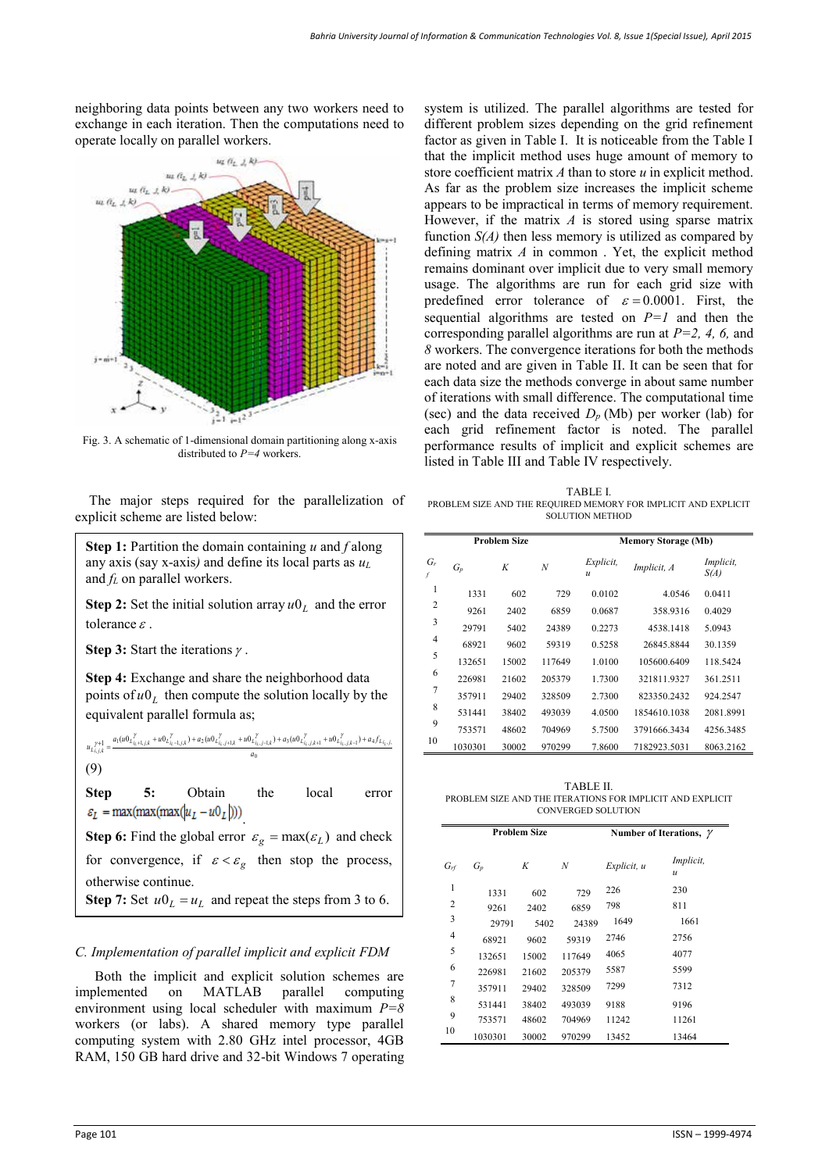neighboring data points between any two workers need to exchange in each iteration. Then the computations need to operate locally on parallel workers.



Fig. 3. A schematic of 1-dimensional domain partitioning along x-axis distributed to *P=4* workers.

The major steps required for the parallelization of explicit scheme are listed below:

**Step 1:** Partition the domain containing *u* and *f* along any axis (say x-axis*)* and define its local parts as *u<sup>L</sup>* and *f<sup>L</sup>* on parallel workers.

**Step 2:** Set the initial solution array  $u_0$  and the error tolerance  $\varepsilon$ .

**Step 3:** Start the iterations  $\gamma$ .

**Step 4:** Exchange and share the neighborhood data points of  $u_0$  then compute the solution locally by the equivalent parallel formula as;

$$
\begin{split} u_{L^{i,j,k}_{i,j,k}}=&\frac{a_{1}(u0_{L^{i}_{i_{k}+1,j,k}}+u0_{L^{i}_{i_{k}-1,j,k}})+a_{2}(u0_{L^{i}_{i_{k},j+1,k}}+u0_{L^{i}_{i_{k},j-1,k}})+a_{3}(u0_{L^{i}_{i_{k},j,k+1}}+u0_{L^{i}_{i_{k},j,k-1}})+a_{4}f_{L_{i_{k},j,k}}}{a_{0}}\\ &\qquad \qquad (9)\\ \end{split}
$$

**Step 5:** Obtain the local error  $\varepsilon_L$  = max(max(max( $|u_L - u_0_L|$ )))

**Step 6:** Find the global error  $\varepsilon_g = \max(\varepsilon_L)$  and check for convergence, if  $\varepsilon < \varepsilon_g$  then stop the process, otherwise continue. **Step 7:** Set  $u_0 = u_L$  and repeat the steps from 3 to 6.

## *C. Implementation of parallel implicit and explicit FDM*

 Both the implicit and explicit solution schemes are implemented on MATLAB parallel computing environment using local scheduler with maximum *P=8*  workers (or labs). A shared memory type parallel computing system with 2.80 GHz intel processor, 4GB RAM, 150 GB hard drive and 32-bit Windows 7 operating

system is utilized. The parallel algorithms are tested for different problem sizes depending on the grid refinement factor as given in Table I. It is noticeable from the Table I that the implicit method uses huge amount of memory to store coefficient matrix *A* than to store *u* in explicit method. As far as the problem size increases the implicit scheme appears to be impractical in terms of memory requirement. However, if the matrix *A* is stored using sparse matrix function *S(A)* then less memory is utilized as compared by defining matrix *A* in common . Yet, the explicit method remains dominant over implicit due to very small memory usage. The algorithms are run for each grid size with predefined error tolerance of  $\varepsilon = 0.0001$ . First, the sequential algorithms are tested on *P=1* and then the corresponding parallel algorithms are run at *P=2, 4, 6,* and *8* workers. The convergence iterations for both the methods are noted and are given in Table II. It can be seen that for each data size the methods converge in about same number of iterations with small difference. The computational time (sec) and the data received  $D_p$  (Mb) per worker (lab) for each grid refinement factor is noted. The parallel performance results of implicit and explicit schemes are listed in Table III and Table IV respectively.

TABLE I. PROBLEM SIZE AND THE REQUIRED MEMORY FOR IMPLICIT AND EXPLICIT SOLUTION METHOD

| <b>Problem Size</b> |         |       |        | <b>Memory Storage (Mb)</b>    |              |                          |  |
|---------------------|---------|-------|--------|-------------------------------|--------------|--------------------------|--|
| $G_r$               | $G_p$   | K     | N      | Explicit,<br>$\boldsymbol{u}$ | Implicit, A  | <i>Implicit,</i><br>S(A) |  |
| 1                   | 1331    | 602   | 729    | 0.0102                        | 4.0546       | 0.0411                   |  |
| 2                   | 9261    | 2402  | 6859   | 0.0687                        | 358.9316     | 0.4029                   |  |
| 3                   | 29791   | 5402  | 24389  | 0.2273                        | 4538.1418    | 5.0943                   |  |
| 4                   | 68921   | 9602  | 59319  | 0.5258                        | 26845.8844   | 30.1359                  |  |
| 5                   | 132651  | 15002 | 117649 | 1.0100                        | 105600.6409  | 118.5424                 |  |
| 6                   | 226981  | 21602 | 205379 | 1.7300                        | 321811.9327  | 361.2511                 |  |
| $\overline{7}$      | 357911  | 29402 | 328509 | 2.7300                        | 823350.2432  | 924.2547                 |  |
| 8                   | 531441  | 38402 | 493039 | 4.0500                        | 1854610.1038 | 2081.8991                |  |
| 9                   | 753571  | 48602 | 704969 | 5.7500                        | 3791666.3434 | 4256.3485                |  |
| 10                  | 1030301 | 30002 | 970299 | 7.8600                        | 7182923.5031 | 8063.2162                |  |

TABLE II. PROBLEM SIZE AND THE ITERATIONS FOR IMPLICIT AND EXPLICIT CONVERGED SOLUTION

|          |         | <b>Problem Size</b> | Number of Iterations, $\gamma$ |             |                            |
|----------|---------|---------------------|--------------------------------|-------------|----------------------------|
| $G_{rf}$ | $G_p$   | K                   | N                              | Explicit, u | Implicit,<br>$\mathcal{U}$ |
| 1        | 1331    | 602                 | 729                            | 226         | 230                        |
| 2        | 9261    | 2402                | 6859                           | 798         | 811                        |
| 3        | 29791   | 5402                | 24389                          | 1649        | 1661                       |
| 4        | 68921   | 9602                | 59319                          | 2746        | 2756                       |
| 5        | 132651  | 15002               | 117649                         | 4065        | 4077                       |
| 6        | 226981  | 21602               | 205379                         | 5587        | 5599                       |
| 7        | 357911  | 29402               | 328509                         | 7299        | 7312                       |
| 8        | 531441  | 38402               | 493039                         | 9188        | 9196                       |
| 9        | 753571  | 48602               | 704969                         | 11242       | 11261                      |
| 10       | 1030301 | 30002               | 970299                         | 13452       | 13464                      |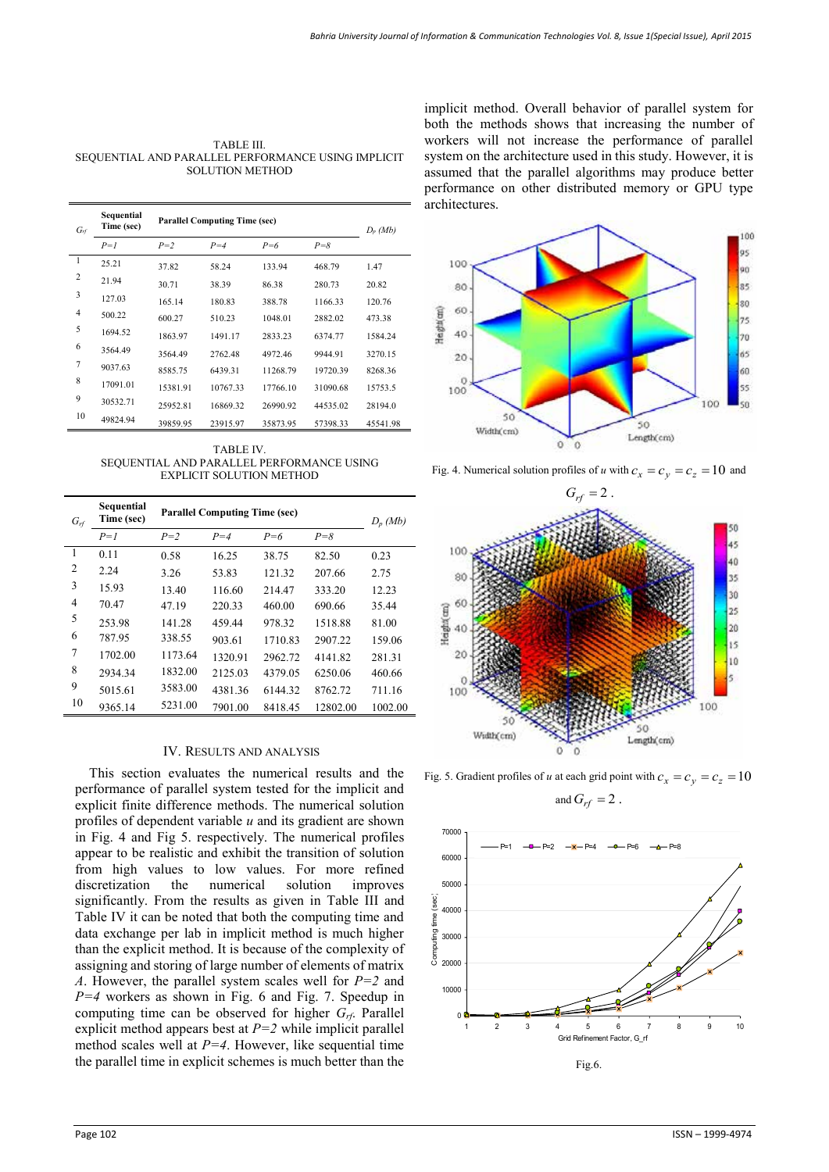TABLE III. SEQUENTIAL AND PARALLEL PERFORMANCE USING IMPLICIT SOLUTION METHOD

| $G_{rf}$       | Sequential<br>Time (sec) | <b>Parallel Computing Time (sec)</b> | $D_p$ (Mb) |          |          |          |
|----------------|--------------------------|--------------------------------------|------------|----------|----------|----------|
|                | $P=I$                    | $P=2$                                | $P=4$      | $P = 6$  | $P = 8$  |          |
| $\overline{1}$ | 25.21                    | 37.82                                | 58.24      | 133.94   | 468.79   | 1.47     |
| $\overline{2}$ | 21.94                    | 30.71                                | 38.39      | 86.38    | 280.73   | 20.82    |
| 3              | 127.03                   | 165.14                               | 180.83     | 388.78   | 1166.33  | 120.76   |
| $\overline{4}$ | 500.22                   | 600.27                               | 510.23     | 1048.01  | 2882.02  | 473.38   |
| 5              | 1694.52                  | 1863.97                              | 1491.17    | 2833.23  | 6374.77  | 1584.24  |
| 6              | 3564.49                  | 3564.49                              | 276248     | 4972.46  | 9944.91  | 3270.15  |
| 7              | 9037.63                  | 8585.75                              | 6439.31    | 11268.79 | 19720.39 | 8268.36  |
| 8              | 17091.01                 | 15381.91                             | 10767.33   | 17766.10 | 31090.68 | 15753.5  |
| 9              | 30532.71                 | 25952.81                             | 16869.32   | 26990.92 | 44535.02 | 28194.0  |
| 10             | 49824.94                 | 39859.95                             | 23915.97   | 35873.95 | 57398.33 | 45541.98 |

TABLE IV. SEQUENTIAL AND PARALLEL PERFORMANCE USING EXPLICIT SOLUTION METHOD

| $G_{rf}$       | Sequential<br>Time (sec) | <b>Parallel Computing Time (sec)</b> | $D_p$ (Mb) |         |          |         |
|----------------|--------------------------|--------------------------------------|------------|---------|----------|---------|
|                | $P=1$                    | $P=2$                                | $P = 4$    | $P=6$   | $P = 8$  |         |
| $\overline{1}$ | 0.11                     | 0.58                                 | 16.25      | 38.75   | 82.50    | 0.23    |
| 2              | 2.24                     | 3.26                                 | 53.83      | 121.32  | 207.66   | 2.75    |
| 3              | 15.93                    | 13.40                                | 116.60     | 214.47  | 333.20   | 12.23   |
| 4              | 70.47                    | 47.19                                | 220.33     | 460.00  | 690.66   | 35.44   |
| 5              | 253.98                   | 141.28                               | 459.44     | 978.32  | 1518.88  | 81.00   |
| 6              | 787.95                   | 338.55                               | 903.61     | 1710.83 | 2907.22  | 159.06  |
| 7              | 1702.00                  | 1173.64                              | 1320.91    | 2962.72 | 4141.82  | 281.31  |
| 8              | 2934.34                  | 1832.00                              | 2125.03    | 4379.05 | 6250.06  | 460.66  |
| 9              | 5015.61                  | 3583.00                              | 4381.36    | 6144.32 | 8762.72  | 711.16  |
| 10             | 9365.14                  | 5231.00                              | 7901.00    | 8418.45 | 12802.00 | 1002.00 |

## IV. RESULTS AND ANALYSIS

This section evaluates the numerical results and the performance of parallel system tested for the implicit and explicit finite difference methods. The numerical solution profiles of dependent variable *u* and its gradient are shown in Fig. 4 and Fig 5. respectively. The numerical profiles appear to be realistic and exhibit the transition of solution from high values to low values. For more refined discretization the numerical solution improves discretization the numerical solution significantly. From the results as given in Table III and Table IV it can be noted that both the computing time and data exchange per lab in implicit method is much higher than the explicit method. It is because of the complexity of assigning and storing of large number of elements of matrix *A*. However, the parallel system scales well for *P=2* and *P=4* workers as shown in Fig. 6 and Fig. 7. Speedup in computing time can be observed for higher *Grf*. Parallel explicit method appears best at *P=2* while implicit parallel method scales well at *P=4*. However, like sequential time the parallel time in explicit schemes is much better than the implicit method. Overall behavior of parallel system for both the methods shows that increasing the number of workers will not increase the performance of parallel system on the architecture used in this study. However, it is assumed that the parallel algorithms may produce better performance on other distributed memory or GPU type architectures.



Fig. 4. Numerical solution profiles of *u* with  $c_x = c_y = c_z = 10$  and



Fig. 5. Gradient profiles of *u* at each grid point with  $c_x = c_y = c_z = 10$ and  $G_{rf} = 2$ .

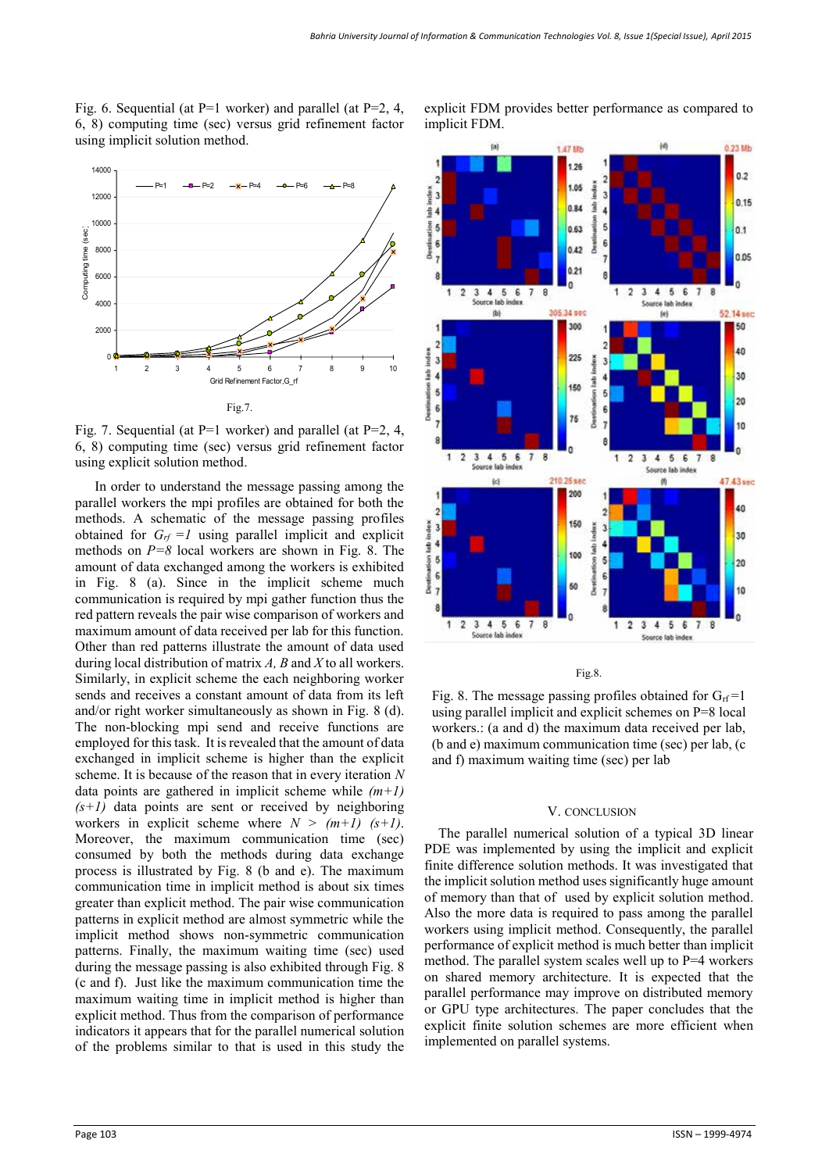Fig. 6. Sequential (at  $P=1$  worker) and parallel (at  $P=2, 4,$ 6, 8) computing time (sec) versus grid refinement factor using implicit solution method.



Fig. 7. Sequential (at P=1 worker) and parallel (at P=2, 4, 6, 8) computing time (sec) versus grid refinement factor using explicit solution method.

 In order to understand the message passing among the parallel workers the mpi profiles are obtained for both the methods. A schematic of the message passing profiles obtained for  $G_f = I$  using parallel implicit and explicit methods on *P=8* local workers are shown in Fig. 8. The amount of data exchanged among the workers is exhibited in Fig. 8 (a). Since in the implicit scheme much communication is required by mpi gather function thus the red pattern reveals the pair wise comparison of workers and maximum amount of data received per lab for this function. Other than red patterns illustrate the amount of data used during local distribution of matrix *A, B* and *X* to all workers. Similarly, in explicit scheme the each neighboring worker sends and receives a constant amount of data from its left and/or right worker simultaneously as shown in Fig. 8 (d). The non-blocking mpi send and receive functions are employed for this task. It is revealed that the amount of data exchanged in implicit scheme is higher than the explicit scheme. It is because of the reason that in every iteration *N*  data points are gathered in implicit scheme while *(m+1)*   $(s+1)$  data points are sent or received by neighboring workers in explicit scheme where  $N > (m+1)$   $(s+1)$ . Moreover, the maximum communication time (sec) consumed by both the methods during data exchange process is illustrated by Fig. 8 (b and e). The maximum communication time in implicit method is about six times greater than explicit method. The pair wise communication patterns in explicit method are almost symmetric while the implicit method shows non-symmetric communication patterns. Finally, the maximum waiting time (sec) used during the message passing is also exhibited through Fig. 8 (c and f). Just like the maximum communication time the maximum waiting time in implicit method is higher than explicit method. Thus from the comparison of performance indicators it appears that for the parallel numerical solution of the problems similar to that is used in this study the



explicit FDM provides better performance as compared to

Fig.8.

Fig. 8. The message passing profiles obtained for  $G_{\text{rf}}=1$ using parallel implicit and explicit schemes on P=8 local workers.: (a and d) the maximum data received per lab, (b and e) maximum communication time (sec) per lab, (c and f) maximum waiting time (sec) per lab

#### V. CONCLUSION

The parallel numerical solution of a typical 3D linear PDE was implemented by using the implicit and explicit finite difference solution methods. It was investigated that the implicit solution method uses significantly huge amount of memory than that of used by explicit solution method. Also the more data is required to pass among the parallel workers using implicit method. Consequently, the parallel performance of explicit method is much better than implicit method. The parallel system scales well up to P=4 workers on shared memory architecture. It is expected that the parallel performance may improve on distributed memory or GPU type architectures. The paper concludes that the explicit finite solution schemes are more efficient when implemented on parallel systems.